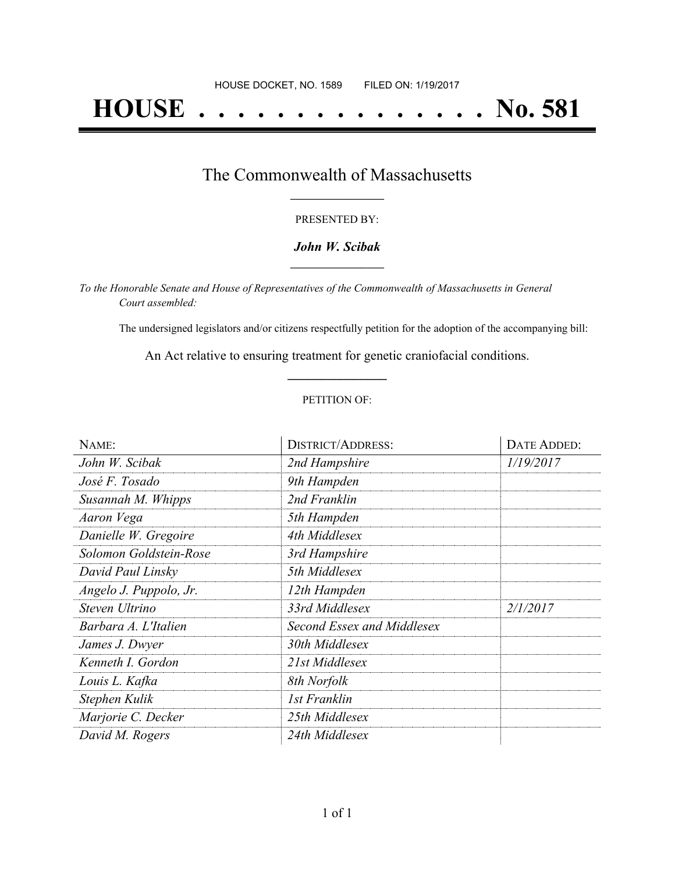# **HOUSE . . . . . . . . . . . . . . . No. 581**

### The Commonwealth of Massachusetts **\_\_\_\_\_\_\_\_\_\_\_\_\_\_\_\_\_**

#### PRESENTED BY:

#### *John W. Scibak* **\_\_\_\_\_\_\_\_\_\_\_\_\_\_\_\_\_**

*To the Honorable Senate and House of Representatives of the Commonwealth of Massachusetts in General Court assembled:*

The undersigned legislators and/or citizens respectfully petition for the adoption of the accompanying bill:

An Act relative to ensuring treatment for genetic craniofacial conditions. **\_\_\_\_\_\_\_\_\_\_\_\_\_\_\_**

#### PETITION OF:

| NAME:                  | <b>DISTRICT/ADDRESS:</b>   | DATE ADDED: |
|------------------------|----------------------------|-------------|
| John W. Scibak         | 2nd Hampshire              | 1/19/2017   |
| José F. Tosado         | 9th Hampden                |             |
| Susannah M. Whipps     | 2nd Franklin               |             |
| Aaron Vega             | 5th Hampden                |             |
| Danielle W. Gregoire   | 4th Middlesex              |             |
| Solomon Goldstein-Rose | 3rd Hampshire              |             |
| David Paul Linsky      | 5th Middlesex              |             |
| Angelo J. Puppolo, Jr. | 12th Hampden               |             |
| Steven Ultrino         | 33rd Middlesex             | 2/1/2017    |
| Barbara A. L'Italien   | Second Essex and Middlesex |             |
| James J. Dwyer         | 30th Middlesex             |             |
| Kenneth I. Gordon      | 21st Middlesex             |             |
| Louis L. Kafka         | 8th Norfolk                |             |
| Stephen Kulik          | 1st Franklin               |             |
| Marjorie C. Decker     | 25th Middlesex             |             |
| David M. Rogers        | 24th Middlesex             |             |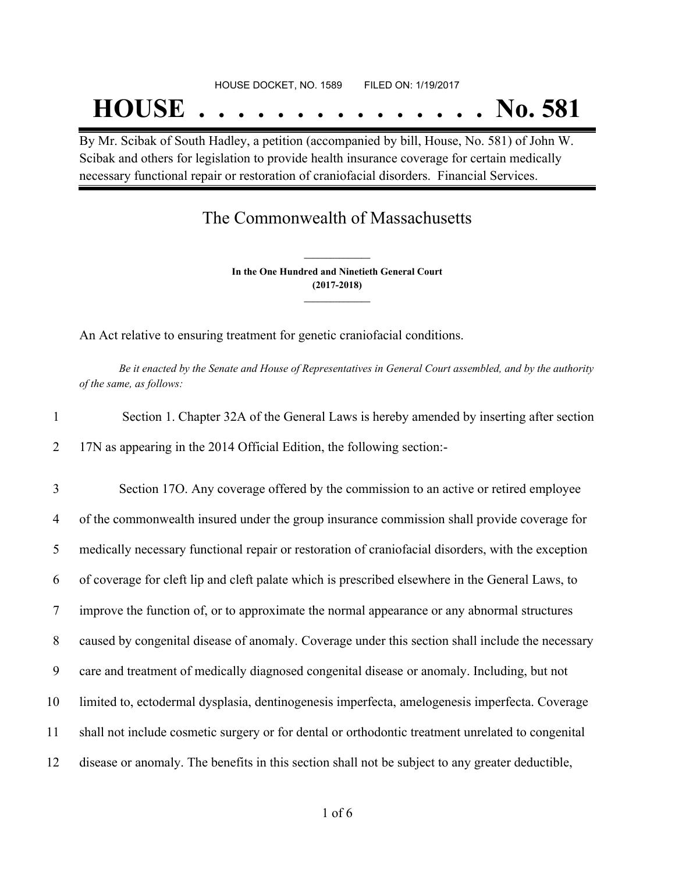By Mr. Scibak of South Hadley, a petition (accompanied by bill, House, No. 581) of John W. Scibak and others for legislation to provide health insurance coverage for certain medically necessary functional repair or restoration of craniofacial disorders. Financial Services.

## The Commonwealth of Massachusetts

**In the One Hundred and Ninetieth General Court (2017-2018) \_\_\_\_\_\_\_\_\_\_\_\_\_\_\_**

**\_\_\_\_\_\_\_\_\_\_\_\_\_\_\_**

An Act relative to ensuring treatment for genetic craniofacial conditions.

Be it enacted by the Senate and House of Representatives in General Court assembled, and by the authority *of the same, as follows:*

| Section 1. Chapter 32A of the General Laws is hereby amended by inserting after section |
|-----------------------------------------------------------------------------------------|
| 17N as appearing in the 2014 Official Edition, the following section:-                  |

 Section 17O. Any coverage offered by the commission to an active or retired employee of the commonwealth insured under the group insurance commission shall provide coverage for medically necessary functional repair or restoration of craniofacial disorders, with the exception of coverage for cleft lip and cleft palate which is prescribed elsewhere in the General Laws, to improve the function of, or to approximate the normal appearance or any abnormal structures caused by congenital disease of anomaly. Coverage under this section shall include the necessary care and treatment of medically diagnosed congenital disease or anomaly. Including, but not limited to, ectodermal dysplasia, dentinogenesis imperfecta, amelogenesis imperfecta. Coverage shall not include cosmetic surgery or for dental or orthodontic treatment unrelated to congenital disease or anomaly. The benefits in this section shall not be subject to any greater deductible,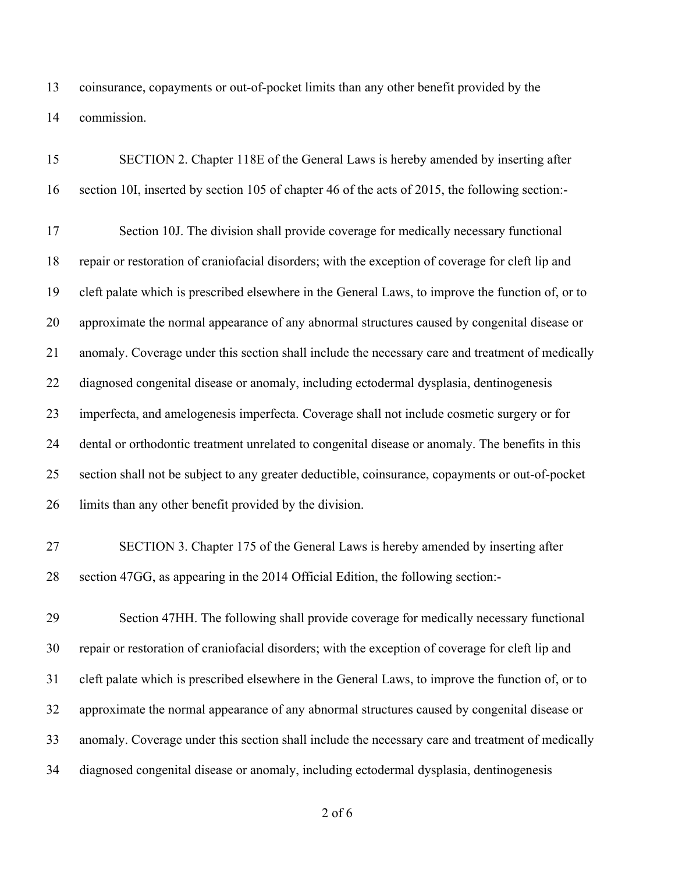coinsurance, copayments or out-of-pocket limits than any other benefit provided by the commission.

| 15 | SECTION 2. Chapter 118E of the General Laws is hereby amended by inserting after                  |
|----|---------------------------------------------------------------------------------------------------|
| 16 | section 10I, inserted by section 105 of chapter 46 of the acts of 2015, the following section:-   |
| 17 | Section 10J. The division shall provide coverage for medically necessary functional               |
| 18 | repair or restoration of craniofacial disorders; with the exception of coverage for cleft lip and |
| 19 | cleft palate which is prescribed elsewhere in the General Laws, to improve the function of, or to |
| 20 | approximate the normal appearance of any abnormal structures caused by congenital disease or      |
| 21 | anomaly. Coverage under this section shall include the necessary care and treatment of medically  |
| 22 | diagnosed congenital disease or anomaly, including ectodermal dysplasia, dentinogenesis           |
| 23 | imperfecta, and amelogenesis imperfecta. Coverage shall not include cosmetic surgery or for       |
| 24 | dental or orthodontic treatment unrelated to congenital disease or anomaly. The benefits in this  |
| 25 | section shall not be subject to any greater deductible, coinsurance, copayments or out-of-pocket  |
| 26 | limits than any other benefit provided by the division.                                           |
| 27 | SECTION 3. Chapter 175 of the General Laws is hereby amended by inserting after                   |
| 28 | section 47GG, as appearing in the 2014 Official Edition, the following section:-                  |
| 29 | Section 47HH. The following shall provide coverage for medically necessary functional             |
| 30 | repair or restoration of craniofacial disorders; with the exception of coverage for cleft lip and |
| 31 | cleft palate which is prescribed elsewhere in the General Laws, to improve the function of, or to |
| 32 | approximate the normal appearance of any abnormal structures caused by congenital disease or      |
| 33 | anomaly. Coverage under this section shall include the necessary care and treatment of medically  |
| 34 | diagnosed congenital disease or anomaly, including ectodermal dysplasia, dentinogenesis           |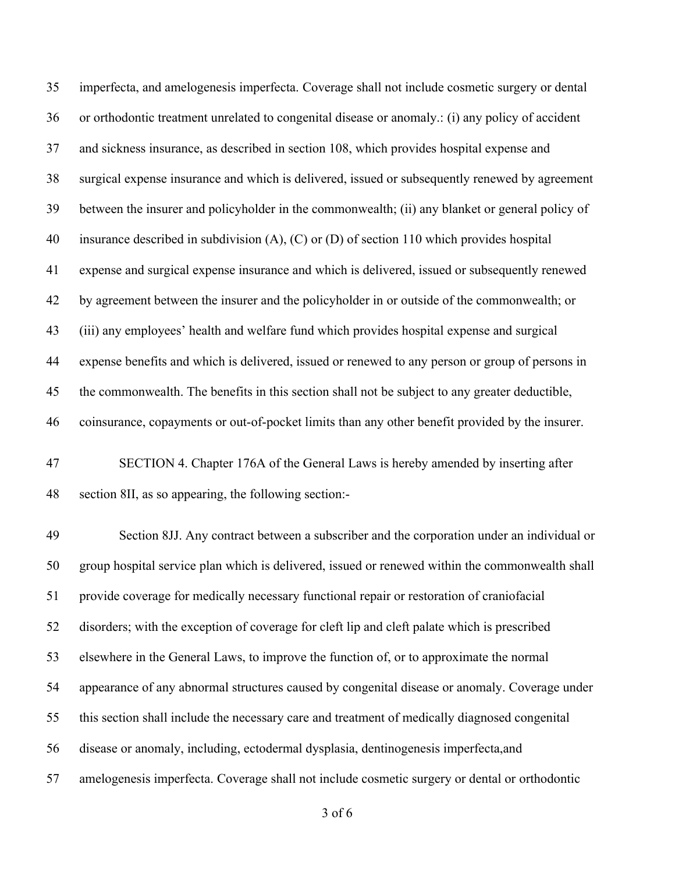imperfecta, and amelogenesis imperfecta. Coverage shall not include cosmetic surgery or dental or orthodontic treatment unrelated to congenital disease or anomaly.: (i) any policy of accident and sickness insurance, as described in section 108, which provides hospital expense and surgical expense insurance and which is delivered, issued or subsequently renewed by agreement between the insurer and policyholder in the commonwealth; (ii) any blanket or general policy of insurance described in subdivision (A), (C) or (D) of section 110 which provides hospital expense and surgical expense insurance and which is delivered, issued or subsequently renewed by agreement between the insurer and the policyholder in or outside of the commonwealth; or (iii) any employees' health and welfare fund which provides hospital expense and surgical expense benefits and which is delivered, issued or renewed to any person or group of persons in the commonwealth. The benefits in this section shall not be subject to any greater deductible, coinsurance, copayments or out-of-pocket limits than any other benefit provided by the insurer.

 SECTION 4. Chapter 176A of the General Laws is hereby amended by inserting after section 8II, as so appearing, the following section:-

 Section 8JJ. Any contract between a subscriber and the corporation under an individual or group hospital service plan which is delivered, issued or renewed within the commonwealth shall provide coverage for medically necessary functional repair or restoration of craniofacial disorders; with the exception of coverage for cleft lip and cleft palate which is prescribed elsewhere in the General Laws, to improve the function of, or to approximate the normal appearance of any abnormal structures caused by congenital disease or anomaly. Coverage under this section shall include the necessary care and treatment of medically diagnosed congenital disease or anomaly, including, ectodermal dysplasia, dentinogenesis imperfecta,and amelogenesis imperfecta. Coverage shall not include cosmetic surgery or dental or orthodontic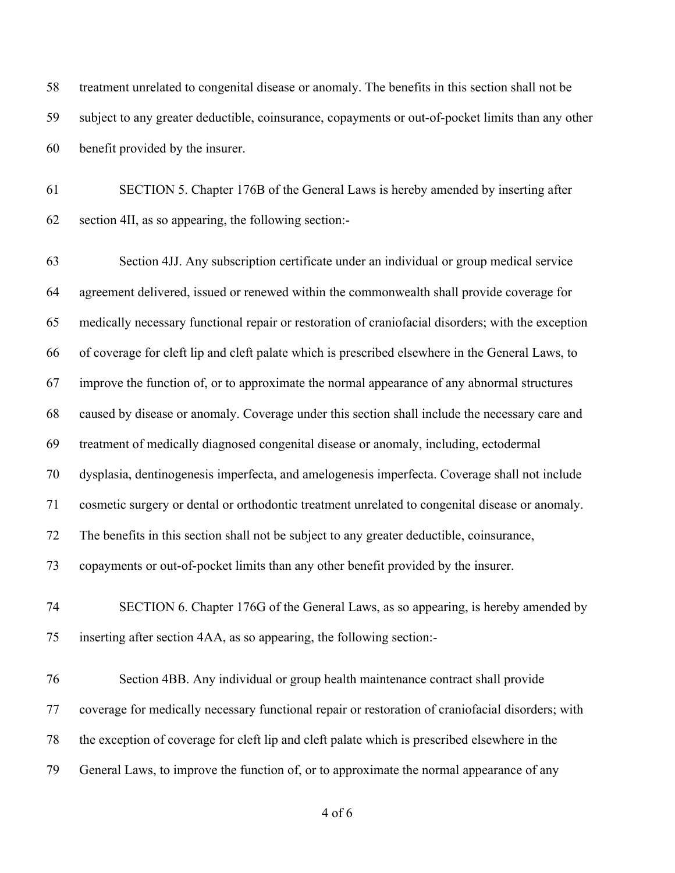treatment unrelated to congenital disease or anomaly. The benefits in this section shall not be subject to any greater deductible, coinsurance, copayments or out-of-pocket limits than any other benefit provided by the insurer.

 SECTION 5. Chapter 176B of the General Laws is hereby amended by inserting after section 4II, as so appearing, the following section:-

 Section 4JJ. Any subscription certificate under an individual or group medical service agreement delivered, issued or renewed within the commonwealth shall provide coverage for medically necessary functional repair or restoration of craniofacial disorders; with the exception of coverage for cleft lip and cleft palate which is prescribed elsewhere in the General Laws, to improve the function of, or to approximate the normal appearance of any abnormal structures caused by disease or anomaly. Coverage under this section shall include the necessary care and treatment of medically diagnosed congenital disease or anomaly, including, ectodermal dysplasia, dentinogenesis imperfecta, and amelogenesis imperfecta. Coverage shall not include cosmetic surgery or dental or orthodontic treatment unrelated to congenital disease or anomaly. The benefits in this section shall not be subject to any greater deductible, coinsurance, copayments or out-of-pocket limits than any other benefit provided by the insurer. SECTION 6. Chapter 176G of the General Laws, as so appearing, is hereby amended by inserting after section 4AA, as so appearing, the following section:-

 Section 4BB. Any individual or group health maintenance contract shall provide coverage for medically necessary functional repair or restoration of craniofacial disorders; with the exception of coverage for cleft lip and cleft palate which is prescribed elsewhere in the General Laws, to improve the function of, or to approximate the normal appearance of any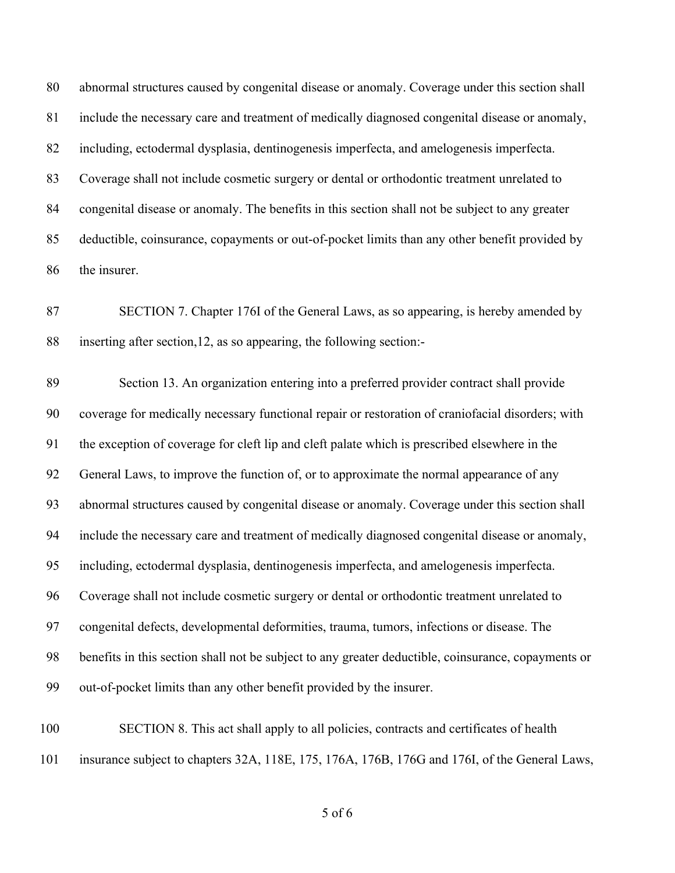abnormal structures caused by congenital disease or anomaly. Coverage under this section shall include the necessary care and treatment of medically diagnosed congenital disease or anomaly, including, ectodermal dysplasia, dentinogenesis imperfecta, and amelogenesis imperfecta. Coverage shall not include cosmetic surgery or dental or orthodontic treatment unrelated to congenital disease or anomaly. The benefits in this section shall not be subject to any greater deductible, coinsurance, copayments or out-of-pocket limits than any other benefit provided by the insurer.

 SECTION 7. Chapter 176I of the General Laws, as so appearing, is hereby amended by inserting after section,12, as so appearing, the following section:-

 Section 13. An organization entering into a preferred provider contract shall provide coverage for medically necessary functional repair or restoration of craniofacial disorders; with the exception of coverage for cleft lip and cleft palate which is prescribed elsewhere in the General Laws, to improve the function of, or to approximate the normal appearance of any abnormal structures caused by congenital disease or anomaly. Coverage under this section shall include the necessary care and treatment of medically diagnosed congenital disease or anomaly, including, ectodermal dysplasia, dentinogenesis imperfecta, and amelogenesis imperfecta. Coverage shall not include cosmetic surgery or dental or orthodontic treatment unrelated to congenital defects, developmental deformities, trauma, tumors, infections or disease. The benefits in this section shall not be subject to any greater deductible, coinsurance, copayments or out-of-pocket limits than any other benefit provided by the insurer.

 SECTION 8. This act shall apply to all policies, contracts and certificates of health insurance subject to chapters 32A, 118E, 175, 176A, 176B, 176G and 176I, of the General Laws,